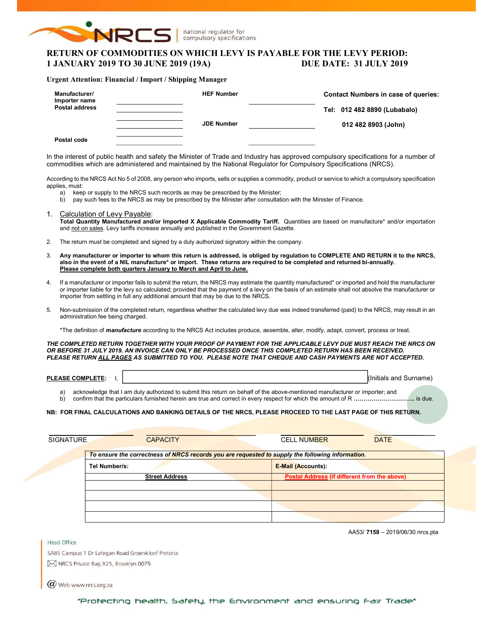

national regulator for compulsory specifications

# RETURN OF COMMODITIES ON WHICH LEVY IS PAYABLE FOR THE LEVY PERIOD: 1 JANUARY 2019 TO 30 JUNE 2019 (19A) DUE DATE: 31 JULY 2019

#### Urgent Attention: Financial / Import / Shipping Manager

| Manufacturer/<br>Importer name<br><b>Postal address</b> | <b>HEF Number</b> | <b>Contact Numbers in case of queries:</b><br>Tel: 012 482 8890 (Lubabalo) |
|---------------------------------------------------------|-------------------|----------------------------------------------------------------------------|
| Postal code                                             | <b>JDE Number</b> | 012 482 8903 (John)                                                        |

In the interest of public health and safety the Minister of Trade and Industry has approved compulsory specifications for a number of commodities which are administered and maintained by the National Regulator for Compulsory Specifications (NRCS).

According to the NRCS Act No 5 of 2008, any person who imports, sells or supplies a commodity, product or service to which a compulsory specification applies, must:

- a) keep or supply to the NRCS such records as may be prescribed by the Minister;
- b) pay such fees to the NRCS as may be prescribed by the Minister after consultation with the Minister of Finance.
- 1. Calculation of Levy Payable: Total Quantity Manufactured and/or Imported X Applicable Commodity Tariff. Quantities are based on manufacture\* and/or importation and not on sales. Levy tariffs increase annually and published in the Government Gazette.
- 2. The return must be completed and signed by a duly authorized signatory within the company.
- 3. Any manufacturer or importer to whom this return is addressed, is obliged by regulation to COMPLETE AND RETURN it to the NRCS, also in the event of a NIL manufacture\* or import. These returns are required to be completed and returned bi-annually. Please complete both quarters January to March and April to June.
- 4. If a manufacturer or importer fails to submit the return, the NRCS may estimate the quantity manufactured\* or imported and hold the manufacturer or importer liable for the levy so calculated; provided that the payment of a levy on the basis of an estimate shall not absolve the manufacturer or importer from settling in full any additional amount that may be due to the NRCS.
- 5. Non-submission of the completed return, regardless whether the calculated levy due was indeed transferred (paid) to the NRCS, may result in an administration fee being charged.

\*The definition of *manufacture* according to the NRCS Act includes produce, assemble, alter, modify, adapt, convert, process or treat.

THE COMPLETED RETURN TOGETHER WITH YOUR PROOF OF PAYMENT FOR THE APPLICABLE LEVY DUE MUST REACH THE NRCS ON OR BEFORE 31 JULY 2019. AN INVOICE CAN ONLY BE PROCESSED ONCE THIS COMPLETED RETURN HAS BEEN RECEIVED. PLEASE RETURN ALL PAGES AS SUBMITTED TO YOU. PLEASE NOTE THAT CHEQUE AND CASH PAYMENTS ARE NOT ACCEPTED.

| <b>PLEA</b><br><b>SE COMPL.</b><br>-ASE<br>'LETE: | and<br>Surnar<br>iais |
|---------------------------------------------------|-----------------------|
|                                                   |                       |

a) acknowledge that I am duly authorized to submit this return on behalf of the above-mentioned manufacturer or importer; and b) confirm that the particulars furnished herein are true and correct in every respect for which the amount of R ………………………………… is due.

### NB: FOR FINAL CALCULATIONS AND BANKING DETAILS OF THE NRCS, PLEASE PROCEED TO THE LAST PAGE OF THIS RETURN.

| <b>CAPACITY</b>                                                                                  | <b>DATE</b><br><b>CELL NUMBER</b>            |
|--------------------------------------------------------------------------------------------------|----------------------------------------------|
| To ensure the correctness of NRCS records you are requested to supply the following information. |                                              |
| Tel Number/s:                                                                                    | <b>E-Mail (Accounts):</b>                    |
| <b>Street Address</b>                                                                            | Postal Address (if different from the above) |
|                                                                                                  |                                              |
|                                                                                                  |                                              |
|                                                                                                  |                                              |
|                                                                                                  |                                              |

AA53/ 7158 – 2019/06/30 nrcs.pta

SABS Campus 1 Dr Lategan Road Groenkloof Pretoria M NRCS Private Bag X25, Brooklyn 0075

 $(\alpha)$  Web www.nrcs.org.za

Head Office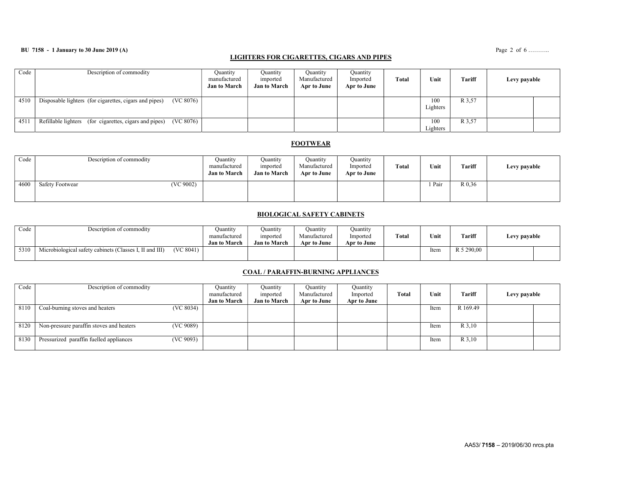## BU 7158 - 1 January to 30 June 2019 (A) Page 2 of 6 ..........

# LIGHTERS FOR CIGARETTES, CIGARS AND PIPES

| Code | Description of commodity                                            | Quantity<br>manufactured<br><b>Jan to March</b> | Ouantity<br>imported<br><b>Jan to March</b> | Quantity<br>Manufactured<br>Apr to June | Quantity<br>Imported<br>Apr to June | Total | Unit            | Tariff | Levy payable |  |
|------|---------------------------------------------------------------------|-------------------------------------------------|---------------------------------------------|-----------------------------------------|-------------------------------------|-------|-----------------|--------|--------------|--|
| 4510 | (VC 8076)<br>Disposable lighters (for cigarettes, cigars and pipes) |                                                 |                                             |                                         |                                     |       | 100<br>Lighters | R 3.57 |              |  |
| 4511 | (VC 8076)<br>Refillable lighters (for cigarettes, cigars and pipes) |                                                 |                                             |                                         |                                     |       | 100<br>Lighters | R 3.57 |              |  |

### **FOOTWEAR**

| Code | Description of commodity     | Ouantity<br>manufactured<br><b>Jan to March</b> | Ouantity<br>imported<br><b>Jan to March</b> | Ouantity<br>Manufactured<br>Apr to June | Quantity<br>Imported<br>Apr to June | Total | Unit   | <b>Tariff</b> | Levy payable |
|------|------------------------------|-------------------------------------------------|---------------------------------------------|-----------------------------------------|-------------------------------------|-------|--------|---------------|--------------|
| 4600 | (VC 9002)<br>Safety Footwear |                                                 |                                             |                                         |                                     |       | 1 Pair | R 0.36        |              |

### BIOLOGICAL SAFETY CABINETS

| Code | Description of commodity                                             | Ouantitv<br>manufactured<br><b>Jan to March</b> | Ouantıtv<br>imported<br><b>Jan to March</b> | Ouantıtv<br>Manufactured<br>Apr to June | Quantity<br>Imported<br>Apr to June | Total | Unit | Tariff     | Levy payable |  |
|------|----------------------------------------------------------------------|-------------------------------------------------|---------------------------------------------|-----------------------------------------|-------------------------------------|-------|------|------------|--------------|--|
| 5310 | (VC 8041)<br>Microbiological safety cabinets (Classes I, II and III) |                                                 |                                             |                                         |                                     |       | ltem | R 5 290,00 |              |  |

## COAL / PARAFFIN-BURNING APPLIANCES

| Code | Description of commodity                              | Quantity            | Ouantity            | Quantity     | Quantity    |       |      |          |              |  |
|------|-------------------------------------------------------|---------------------|---------------------|--------------|-------------|-------|------|----------|--------------|--|
|      |                                                       | manufactured        | imported            | Manufactured | Imported    | Total | Unit | Tariff   | Levy payable |  |
|      |                                                       | <b>Jan to March</b> | <b>Jan to March</b> | Apr to June  | Apr to June |       |      |          |              |  |
| 8110 | (VC 8034)<br>Coal-burning stoves and heaters          |                     |                     |              |             |       | Item | R 169.49 |              |  |
|      |                                                       |                     |                     |              |             |       |      |          |              |  |
| 8120 | (VC 9089)<br>Non-pressure paraffin stoves and heaters |                     |                     |              |             |       | Item | R 3,10   |              |  |
| 8130 | (VC 9093)<br>Pressurized paraffin fuelled appliances  |                     |                     |              |             |       | Item | R 3,10   |              |  |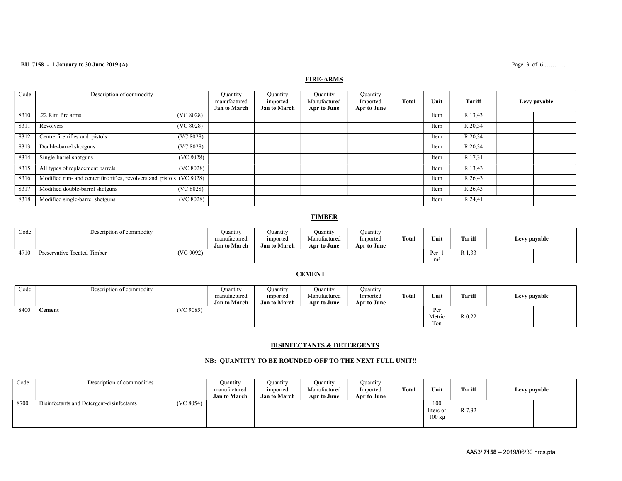### **BU 7158 - 1 January to 30 June 2019 (A)** Page 3 of 6 ……….

# FIRE-ARMS

| Code | Description of commodity                                              | Quantity<br>manufactured<br><b>Jan to March</b> | Quantity<br>imported<br><b>Jan to March</b> | <b>Quantity</b><br>Manufactured<br>Apr to June | Quantity<br>Imported<br>Apr to June | <b>Total</b> | Unit | Tariff  | Levy payable |
|------|-----------------------------------------------------------------------|-------------------------------------------------|---------------------------------------------|------------------------------------------------|-------------------------------------|--------------|------|---------|--------------|
| 8310 | .22 Rim fire arms<br>(VC 8028)                                        |                                                 |                                             |                                                |                                     |              | Item | R 13,43 |              |
| 8311 | (VC 8028)<br>Revolvers                                                |                                                 |                                             |                                                |                                     |              | Item | R 20,34 |              |
| 8312 | Centre fire rifles and pistols<br>(VC 8028)                           |                                                 |                                             |                                                |                                     |              | Item | R 20,34 |              |
| 8313 | Double-barrel shotguns<br>(VC 8028)                                   |                                                 |                                             |                                                |                                     |              | Item | R 20,34 |              |
| 8314 | Single-barrel shotguns<br>(VC 8028)                                   |                                                 |                                             |                                                |                                     |              | Item | R 17,31 |              |
| 8315 | All types of replacement barrels<br>(VC 8028)                         |                                                 |                                             |                                                |                                     |              | Item | R 13,43 |              |
| 8316 | Modified rim- and center fire rifles, revolvers and pistols (VC 8028) |                                                 |                                             |                                                |                                     |              | Item | R 26,43 |              |
| 8317 | Modified double-barrel shotguns<br>(VC 8028)                          |                                                 |                                             |                                                |                                     |              | Item | R 26,43 |              |
| 8318 | Modified single-barrel shotguns<br>(VC 8028)                          |                                                 |                                             |                                                |                                     |              | Item | R 24,41 |              |

## TIMBER

| Code | Description of commodity                 | Ouantity<br>manufactured<br><b>Jan to March</b> | Quantıty<br><i>v</i> mported<br><b>Jan to March</b> | Quantity<br>Manufactured<br>Apr to June | Quantity<br>Imported<br>Apr to June | <b>Total</b> | Unit                  | Tariff                 | Levy payable |  |
|------|------------------------------------------|-------------------------------------------------|-----------------------------------------------------|-----------------------------------------|-------------------------------------|--------------|-----------------------|------------------------|--------------|--|
| 4710 | (VC 9092)<br>Preservative Treated Timber |                                                 |                                                     |                                         |                                     |              | Per<br>m <sup>3</sup> | <b>ררות</b><br>1. J.J. |              |  |

### **CEMENT**

| Code | Description of commodity  | Ouantity<br>manufactured | Ouantity<br>imported | Quantity<br>Manufactured | Ouantity<br>Imported | <b>Total</b> | Unit   | <b>Tariff</b> | Levy payable |  |
|------|---------------------------|--------------------------|----------------------|--------------------------|----------------------|--------------|--------|---------------|--------------|--|
|      |                           | <b>Jan to March</b>      | <b>Jan to March</b>  | Apr to June              | Apr to June          |              |        |               |              |  |
| 8400 | (VC9085)<br><b>Cement</b> |                          |                      |                          |                      |              | Per    |               |              |  |
|      |                           |                          |                      |                          |                      |              | Metric | R 0,22        |              |  |
|      |                           |                          |                      |                          |                      |              | Ton    |               |              |  |

#### DISINFECTANTS & DETERGENTS

## NB: QUANTITY TO BE ROUNDED OFF TO THE NEXT FULL UNIT!!

| Code | Description of commodities                             | Quantity<br>manufactured<br><b>Jan to March</b> | Quantity<br>imported<br><b>Jan to March</b> | Ouantity<br>Manufactured<br>Apr to June | Ouantity<br>Imported<br>Apr to June | Total | Unit                                 | Tariff | Levy payable |  |
|------|--------------------------------------------------------|-------------------------------------------------|---------------------------------------------|-----------------------------------------|-------------------------------------|-------|--------------------------------------|--------|--------------|--|
| 8700 | (VC 8054)<br>Disinfectants and Detergent-disinfectants |                                                 |                                             |                                         |                                     |       | 100<br>liters or<br>$100 \text{ kg}$ | R 7,32 |              |  |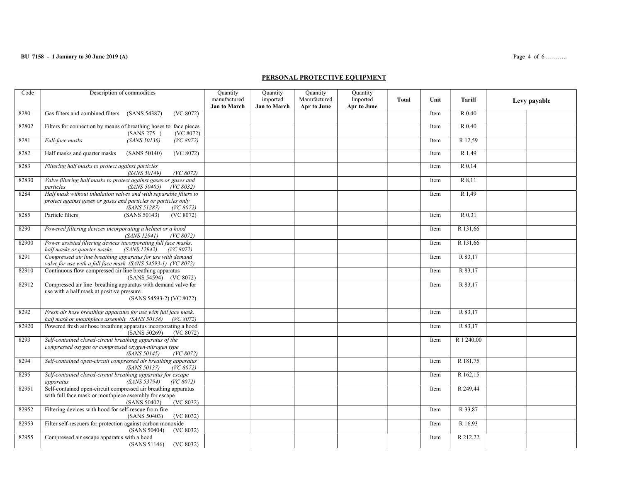### BU 7158 - 1 January to 30 June 2019 (A) Page 4 of 6 ……….

### PERSONAL PROTECTIVE EQUIPMENT

| Code  | Description of commodities                                                                                                                                       | Quantity<br>manufactured<br><b>Jan to March</b> | Quantity<br>imported<br><b>Jan to March</b> | Quantity<br>Manufactured<br>Apr to June | Quantity<br>Imported<br>Apr to June | <b>Total</b> | Unit | Tariff     | Levy payable |
|-------|------------------------------------------------------------------------------------------------------------------------------------------------------------------|-------------------------------------------------|---------------------------------------------|-----------------------------------------|-------------------------------------|--------------|------|------------|--------------|
| 8280  | Gas filters and combined filters<br>(SANS 54387)<br>(VC 8072)                                                                                                    |                                                 |                                             |                                         |                                     |              | Item | R 0,40     |              |
| 82802 | Filters for connection by means of breathing hoses to face pieces<br><b>(SANS 275)</b><br>(VC 8072)                                                              |                                                 |                                             |                                         |                                     |              | Item | R 0.40     |              |
| 8281  | (SANS 50136)<br>Full-face masks<br>(VC 8072)                                                                                                                     |                                                 |                                             |                                         |                                     |              | Item | R 12,59    |              |
| 8282  | Half masks and quarter masks<br>(SANS 50140)<br>(VC 8072)                                                                                                        |                                                 |                                             |                                         |                                     |              | Item | R 1,49     |              |
| 8283  | Filtering half masks to protect against particles<br>(VC 8072)<br>(SANS 50149)                                                                                   |                                                 |                                             |                                         |                                     |              | Item | R 0,14     |              |
| 82830 | Valve filtering half masks to protect against gases or gases and<br>(SANS 50405)<br>(VC 8032)<br>particles                                                       |                                                 |                                             |                                         |                                     |              | Item | R 8,11     |              |
| 8284  | Half mask without inhalation valves and with separable filters to<br>protect against gases or gases and particles or particles only<br>(SANS 51287)<br>(VC 8072) |                                                 |                                             |                                         |                                     |              | Item | R 1,49     |              |
| 8285  | Particle filters<br>(SANS 50143)<br>(VC 8072)                                                                                                                    |                                                 |                                             |                                         |                                     |              | Item | R 0.31     |              |
| 8290  | Powered filtering devices incorporating a helmet or a hood<br>(SANS 12941)<br>(VC 8072)                                                                          |                                                 |                                             |                                         |                                     |              | Item | R 131,66   |              |
| 82900 | Power assisted filtering devices incorporating full face masks,<br>half masks or quarter masks<br><i>(SANS 12942)</i><br>(VC 8072)                               |                                                 |                                             |                                         |                                     |              | Item | R 131,66   |              |
| 8291  | Compressed air line breathing apparatus for use with demand<br>valve for use with a full face mask (SANS 54593-1) (VC 8072)                                      |                                                 |                                             |                                         |                                     |              | Item | R 83,17    |              |
| 82910 | Continuous flow compressed air line breathing apparatus<br>(SANS 54594) (VC 8072)                                                                                |                                                 |                                             |                                         |                                     |              | Item | R 83,17    |              |
| 82912 | Compressed air line breathing apparatus with demand valve for<br>use with a half mask at positive pressure<br>(SANS 54593-2) (VC 8072)                           |                                                 |                                             |                                         |                                     |              | Item | R 83,17    |              |
| 8292  | Fresh air hose breathing apparatus for use with full face mask,<br>half mask or mouthpiece assembly (SANS 50138) (VC 8072)                                       |                                                 |                                             |                                         |                                     |              | Item | R 83,17    |              |
| 82920 | Powered fresh air hose breathing apparatus incorporating a hood<br>(SANS 50269)<br>(VC 8072)                                                                     |                                                 |                                             |                                         |                                     |              | Item | R 83,17    |              |
| 8293  | Self-contained closed-circuit breathing apparatus of the<br>compressed oxygen or compressed oxygen-nitrogen type<br>(SANS 50145)<br>(VC 8072)                    |                                                 |                                             |                                         |                                     |              | Item | R 1 240,00 |              |
| 8294  | Self-contained open-circuit compressed air breathing apparatus<br><i>(SANS 50137)</i><br>(VC 8072)                                                               |                                                 |                                             |                                         |                                     |              | Item | R 181,75   |              |
| 8295  | Self-contained closed-circuit breathing apparatus for escape<br>(SANS 53794)<br>(VC 8072)<br>apparatus                                                           |                                                 |                                             |                                         |                                     |              | Item | R 162,15   |              |
| 82951 | Self-contained open-circuit compressed air breathing apparatus<br>with full face mask or mouthpiece assembly for escape<br>(SANS 50402)<br>(VC 8032)             |                                                 |                                             |                                         |                                     |              | Item | R 249,44   |              |
| 82952 | Filtering devices with hood for self-rescue from fire<br>(SANS 50403)<br>(VC 8032)                                                                               |                                                 |                                             |                                         |                                     |              | Item | R 33,87    |              |
| 82953 | Filter self-rescuers for protection against carbon monoxide<br>(SANS 50404)<br>(VC 8032)                                                                         |                                                 |                                             |                                         |                                     |              | Item | R 16,93    |              |
| 82955 | Compressed air escape apparatus with a hood<br>(VC 8032)<br>(SANS 51146)                                                                                         |                                                 |                                             |                                         |                                     |              | Item | R 212,22   |              |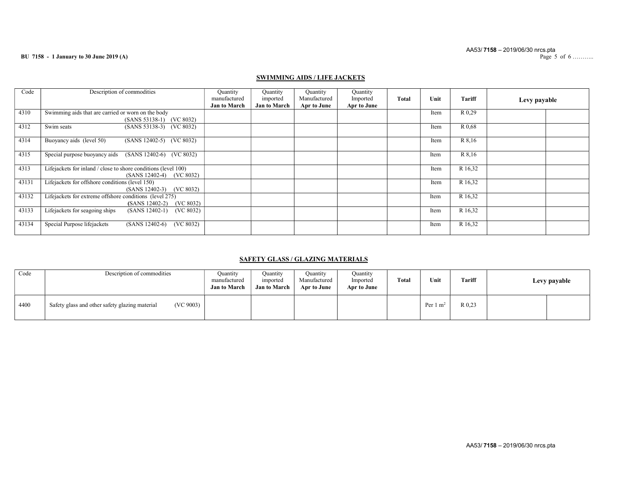#### BU 7158 - 1 January to 30 June 2019 (A)

## SWIMMING AIDS / LIFE JACKETS

| Code  | Description of commodities                                                                     | Quantity<br>manufactured<br><b>Jan to March</b> | Ouantity<br>imported<br><b>Jan to March</b> | Quantity<br>Manufactured<br>Apr to June | Quantity<br>Imported<br>Apr to June | <b>Total</b> | Unit | Tariff  | Levy payable |
|-------|------------------------------------------------------------------------------------------------|-------------------------------------------------|---------------------------------------------|-----------------------------------------|-------------------------------------|--------------|------|---------|--------------|
| 4310  | Swimming aids that are carried or worn on the body<br>(SANS 53138-1) (VC 8032)                 |                                                 |                                             |                                         |                                     |              | Item | R 0,29  |              |
| 4312  | Swim seats<br>(SANS 53138-3) (VC 8032)                                                         |                                                 |                                             |                                         |                                     |              | Item | R 0.68  |              |
| 4314  | Buoyancy aids (level 50)<br>(SANS 12402-5) (VC 8032)                                           |                                                 |                                             |                                         |                                     |              | Item | R 8,16  |              |
| 4315  | Special purpose buoyancy aids (SANS 12402-6) (VC 8032)                                         |                                                 |                                             |                                         |                                     |              | Item | R 8,16  |              |
| 4313  | Lifejackets for inland / close to shore conditions (level 100)<br>$(SANS 12402-4)$ $(VC 8032)$ |                                                 |                                             |                                         |                                     |              | Item | R 16,32 |              |
| 43131 | Lifejackets for offshore conditions (level 150)<br>$(SANS 12402-3)$ $(VC 8032)$                |                                                 |                                             |                                         |                                     |              | Item | R 16,32 |              |
| 43132 | Lifejackets for extreme offshore conditions (level 275)<br>(VC 8032)<br>$(SANS 12402-2)$       |                                                 |                                             |                                         |                                     |              | Item | R 16,32 |              |
| 43133 | Lifejackets for seagoing ships<br>$(SANS 12402-1)$<br>(VC 8032)                                |                                                 |                                             |                                         |                                     |              | Item | R 16,32 |              |
| 43134 | Special Purpose lifejackets<br>(VC 8032)<br>$(SANS 12402-6)$                                   |                                                 |                                             |                                         |                                     |              | Item | R 16,32 |              |

## SAFETY GLASS / GLAZING MATERIALS

| Code | Description of commodities                                  | Quantity<br>manufactured<br><b>Jan to March</b> | Ouantitv<br>imported<br><b>Jan to March</b> | Quantity<br>Manufactured<br>Apr to June | Ouantity<br>Imported<br>Apr to June | Total | Unit                | Tariff | Levy payable |  |
|------|-------------------------------------------------------------|-------------------------------------------------|---------------------------------------------|-----------------------------------------|-------------------------------------|-------|---------------------|--------|--------------|--|
| 4400 | (VC 9003)<br>Safety glass and other safety glazing material |                                                 |                                             |                                         |                                     |       | Per $1 \text{ m}^2$ | R 0.23 |              |  |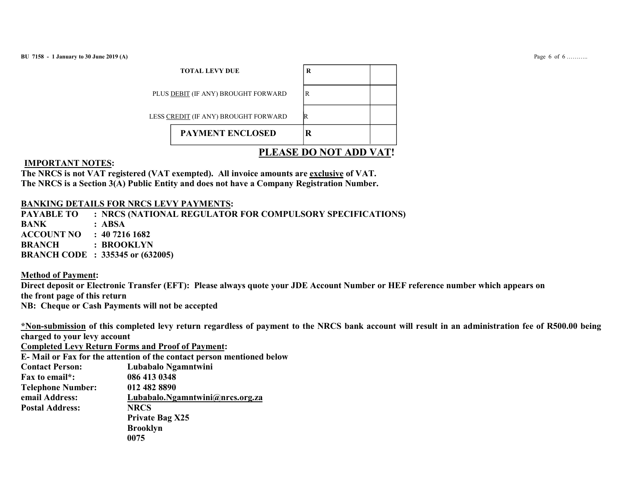| <b>TOTAL LEVY DUE</b>                | R                      |
|--------------------------------------|------------------------|
| PLUS DEBIT (IF ANY) BROUGHT FORWARD  | l R                    |
| LESS CREDIT (IF ANY) BROUGHT FORWARD | IR                     |
| <b>PAYMENT ENCLOSED</b>              | K                      |
|                                      | PLEASE DO NOT ADD VAT! |

## IMPORTANT NOTES:

The NRCS is not VAT registered (VAT exempted). All invoice amounts are exclusive of VAT. The NRCS is a Section 3(A) Public Entity and does not have a Company Registration Number.

# BANKING DETAILS FOR NRCS LEVY PAYMENTS:

PAYABLE TO : NRCS (NATIONAL REGULATOR FOR COMPULSORY SPECIFICATIONS) BANK : ABSA ACCOUNT NO : 40 7216 1682 BRANCH : BROOKLYN BRANCH CODE : 335345 or (632005)

# Method of Payment:

Direct deposit or Electronic Transfer (EFT): Please always quote your JDE Account Number or HEF reference number which appears on the front page of this return NB: Cheque or Cash Payments will not be accepted

\*Non-submission of this completed levy return regardless of payment to the NRCS bank account will result in an administration fee of R500.00 being charged to your levy account

Completed Levy Return Forms and Proof of Payment:

E- Mail or Fax for the attention of the contact person mentioned below Contact Person: Lubabalo Ngamntwini Fax to email\*: 086 413 0348 Telephone Number: 012 482 8890 email Address: Lubabalo.Ngamntwini@nrcs.org.za Postal Address: NRCS Private Bag X25 Brooklyn 0075